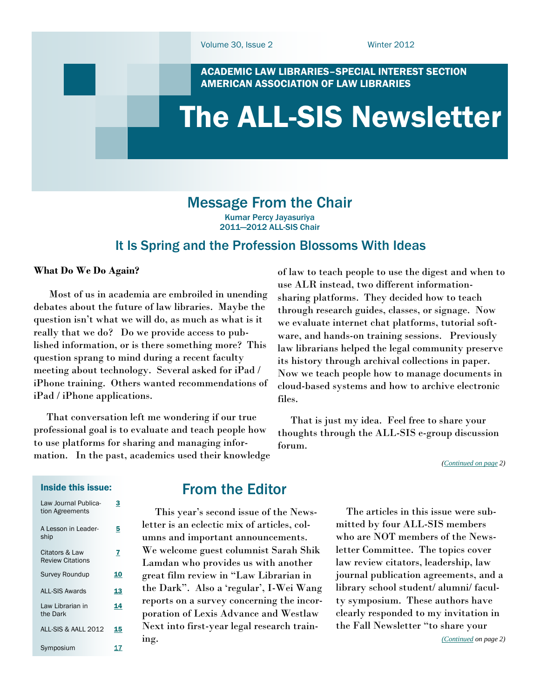ACADEMIC LAW LIBRARIES–SPECIAL INTEREST SECTION AMERICAN ASSOCIATION OF LAW LIBRARIES

# <span id="page-0-0"></span>The ALL-SIS Newsletter

# Message From the Chair

Kumar Percy Jayasuriya 2011—2012 ALL-SIS Chair

### It Is Spring and the Profession Blossoms With Ideas

#### **What Do We Do Again?**

 Most of us in academia are embroiled in unending debates about the future of law libraries. Maybe the question isn't what we will do, as much as what is it really that we do? Do we provide access to published information, or is there something more? This question sprang to mind during a recent faculty meeting about technology. Several asked for iPad / iPhone training. Others wanted recommendations of iPad / iPhone applications.

 That conversation left me wondering if our true professional goal is to evaluate and teach people how to use platforms for sharing and managing information. In the past, academics used their knowledge of law to teach people to use the digest and when to use ALR instead, two different informationsharing platforms. They decided how to teach through research guides, classes, or signage. Now we evaluate internet chat platforms, tutorial software, and hands-on training sessions. Previously law librarians helped the legal community preserve its history through archival collections in paper. Now we teach people how to manage documents in cloud-based systems and how to archive electronic files.

 That is just my idea. Feel free to share your thoughts through the ALL-SIS e-group discussion forum.

*([Continued on page](#page-1-0) 2)*

#### Inside this issue:

| Law Journal Publica-<br>tion Agreements   | 3  |
|-------------------------------------------|----|
| A Lesson in Leader-<br>ship               | 5  |
| Citators & Law<br><b>Review Citations</b> | 7  |
| Survey Roundup                            | 10 |
| <b>ALL-SIS Awards</b>                     | 13 |
| Law Librarian in<br>the Dark              | 14 |
| ALL-SIS & AALL 2012                       | 15 |
| Symposium                                 |    |

## From the Editor

 This year's second issue of the Newsletter is an eclectic mix of articles, columns and important announcements. We welcome guest columnist Sarah Shik Lamdan who provides us with another great film review in "Law Librarian in the Dark". Also a 'regular', I-Wei Wang reports on a survey concerning the incorporation of Lexis Advance and Westlaw Next into first-year legal research training.

 The articles in this issue were submitted by four ALL-SIS members who are NOT members of the Newsletter Committee. The topics cover law review citators, leadership, law journal publication agreements, and a library school student/ alumni/ faculty symposium. These authors have clearly responded to my invitation in the Fall Newsletter "to share your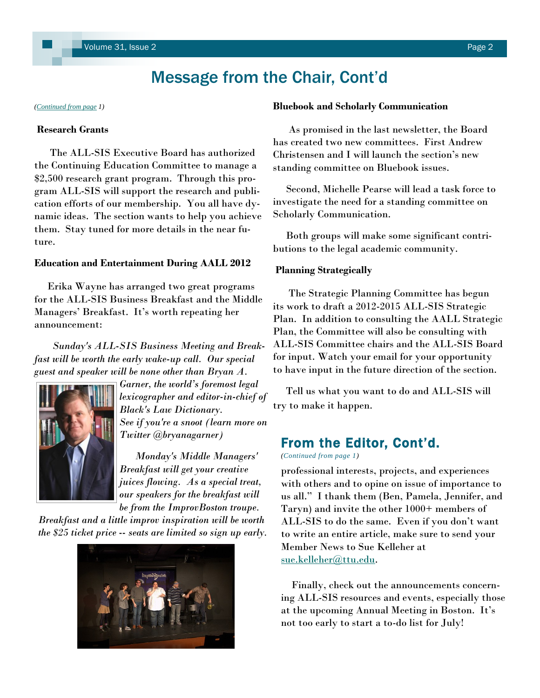# Message from the Chair, Cont'd

#### **Research Grants**

 The ALL-SIS Executive Board has authorized the Continuing Education Committee to manage a \$2,500 research grant program. Through this program ALL-SIS will support the research and publication efforts of our membership. You all have dynamic ideas. The section wants to help you achieve them. Stay tuned for more details in the near future.

#### **Education and Entertainment During AALL 2012**

 Erika Wayne has arranged two great programs for the ALL-SIS Business Breakfast and the Middle Managers' Breakfast. It's worth repeating her announcement:

 *Sunday's ALL-SIS Business Meeting and Breakfast will be worth the early wake-up call. Our special guest and speaker will be none other than Bryan A.* 



*Garner, the world's foremost legal lexicographer and editor-in-chief of Black's Law Dictionary. See if you're a snoot (learn more on Twitter @bryanagarner)*

 *Monday's Middle Managers' Breakfast will get your creative juices flowing. As a special treat, our speakers for the breakfast will be from the ImprovBoston troupe.*

*Breakfast and a little improv inspiration will be worth the \$25 ticket price -- seats are limited so sign up early.*



#### <span id="page-1-0"></span>*([Continued from page](#page-0-0) 1)* **Bluebook and Scholarly Communication**

 As promised in the last newsletter, the Board has created two new committees. First Andrew Christensen and I will launch the section's new standing committee on Bluebook issues.

 Second, Michelle Pearse will lead a task force to investigate the need for a standing committee on Scholarly Communication.

 Both groups will make some significant contributions to the legal academic community.

#### **Planning Strategically**

 The Strategic Planning Committee has begun its work to draft a 2012-2015 ALL-SIS Strategic Plan. In addition to consulting the AALL Strategic Plan, the Committee will also be consulting with ALL-SIS Committee chairs and the ALL-SIS Board for input. Watch your email for your opportunity to have input in the future direction of the section.

 Tell us what you want to do and ALL-SIS will try to make it happen.

### From the Editor, Cont'd.

*(Continued from page 1)*

professional interests, projects, and experiences with others and to opine on issue of importance to us all." I thank them (Ben, Pamela, Jennifer, and Taryn) and invite the other 1000+ members of ALL-SIS to do the same. Even if you don't want to write an entire article, make sure to send your Member News to Sue Kelleher at [sue.kelleher@ttu.edu.](mailto:sue.kelleher@ttu.edu)

 Finally, check out the announcements concerning ALL-SIS resources and events, especially those at the upcoming Annual Meeting in Boston. It's not too early to start a to-do list for July!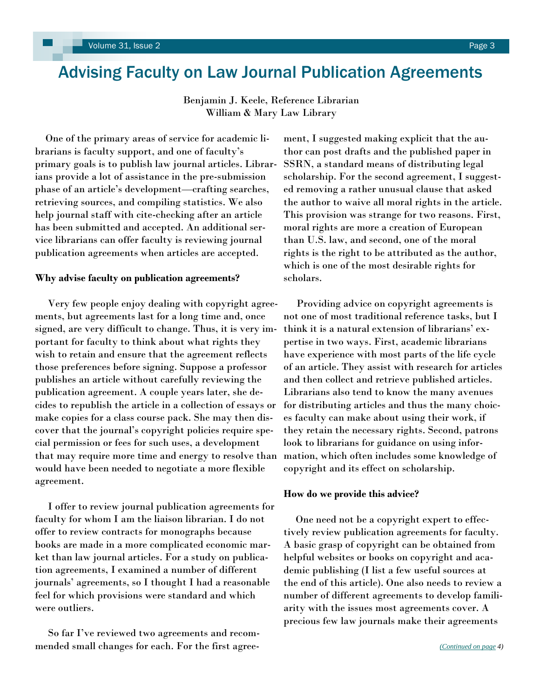# <span id="page-2-0"></span>Advising Faculty on Law Journal Publication Agreements

Benjamin J. Keele, Reference Librarian William & Mary Law Library

 One of the primary areas of service for academic librarians is faculty support, and one of faculty's primary goals is to publish law journal articles. Librarians provide a lot of assistance in the pre-submission phase of an article's development—crafting searches, retrieving sources, and compiling statistics. We also help journal staff with cite-checking after an article has been submitted and accepted. An additional service librarians can offer faculty is reviewing journal publication agreements when articles are accepted.

#### **Why advise faculty on publication agreements?**

 Very few people enjoy dealing with copyright agreements, but agreements last for a long time and, once signed, are very difficult to change. Thus, it is very important for faculty to think about what rights they wish to retain and ensure that the agreement reflects those preferences before signing. Suppose a professor publishes an article without carefully reviewing the publication agreement. A couple years later, she decides to republish the article in a collection of essays or make copies for a class course pack. She may then discover that the journal's copyright policies require special permission or fees for such uses, a development that may require more time and energy to resolve than would have been needed to negotiate a more flexible agreement.

 I offer to review journal publication agreements for faculty for whom I am the liaison librarian. I do not offer to review contracts for monographs because books are made in a more complicated economic market than law journal articles. For a study on publication agreements, I examined a number of different journals' agreements, so I thought I had a reasonable feel for which provisions were standard and which were outliers.

 So far I've reviewed two agreements and recommended small changes for each. For the first agree-

ment, I suggested making explicit that the author can post drafts and the published paper in SSRN, a standard means of distributing legal scholarship. For the second agreement, I suggested removing a rather unusual clause that asked the author to waive all moral rights in the article. This provision was strange for two reasons. First, moral rights are more a creation of European than U.S. law, and second, one of the moral rights is the right to be attributed as the author, which is one of the most desirable rights for scholars.

 Providing advice on copyright agreements is not one of most traditional reference tasks, but I think it is a natural extension of librarians' expertise in two ways. First, academic librarians have experience with most parts of the life cycle of an article. They assist with research for articles and then collect and retrieve published articles. Librarians also tend to know the many avenues for distributing articles and thus the many choices faculty can make about using their work, if they retain the necessary rights. Second, patrons look to librarians for guidance on using information, which often includes some knowledge of copyright and its effect on scholarship.

#### **How do we provide this advice?**

 One need not be a copyright expert to effectively review publication agreements for faculty. A basic grasp of copyright can be obtained from helpful websites or books on copyright and academic publishing (I list a few useful sources at the end of this article). One also needs to review a number of different agreements to develop familiarity with the issues most agreements cover. A precious few law journals make their agreements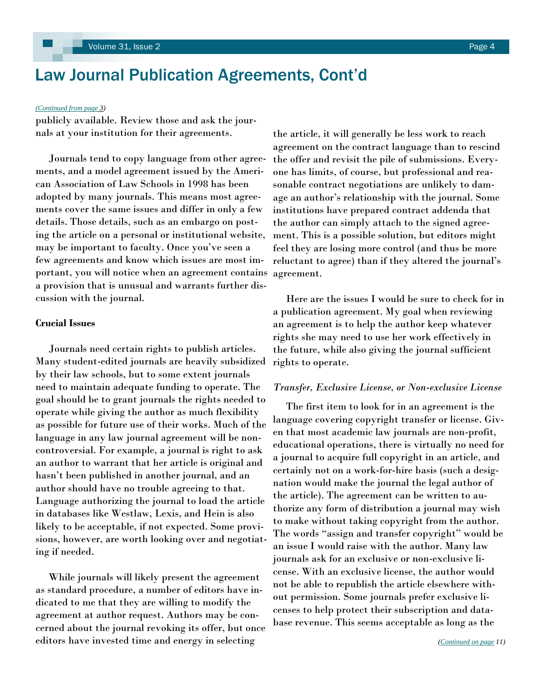# <span id="page-3-0"></span>Law Journal Publication Agreements, Cont'd

#### *[\(Continued from page](#page-2-0) 3)*

publicly available. Review those and ask the journals at your institution for their agreements.

 Journals tend to copy language from other agreements, and a model agreement issued by the American Association of Law Schools in 1998 has been adopted by many journals. This means most agreements cover the same issues and differ in only a few details. Those details, such as an embargo on posting the article on a personal or institutional website, may be important to faculty. Once you've seen a few agreements and know which issues are most important, you will notice when an agreement contains a provision that is unusual and warrants further discussion with the journal.

#### **Crucial Issues**

 Journals need certain rights to publish articles. Many student-edited journals are heavily subsidized by their law schools, but to some extent journals need to maintain adequate funding to operate. The goal should be to grant journals the rights needed to operate while giving the author as much flexibility as possible for future use of their works. Much of the language in any law journal agreement will be noncontroversial. For example, a journal is right to ask an author to warrant that her article is original and hasn't been published in another journal, and an author should have no trouble agreeing to that. Language authorizing the journal to load the article in databases like Westlaw, Lexis, and Hein is also likely to be acceptable, if not expected. Some provisions, however, are worth looking over and negotiating if needed.

 While journals will likely present the agreement as standard procedure, a number of editors have indicated to me that they are willing to modify the agreement at author request. Authors may be concerned about the journal revoking its offer, but once editors have invested time and energy in selecting

the article, it will generally be less work to reach agreement on the contract language than to rescind the offer and revisit the pile of submissions. Everyone has limits, of course, but professional and reasonable contract negotiations are unlikely to damage an author's relationship with the journal. Some institutions have prepared contract addenda that the author can simply attach to the signed agreement. This is a possible solution, but editors might feel they are losing more control (and thus be more reluctant to agree) than if they altered the journal's agreement.

 Here are the issues I would be sure to check for in a publication agreement. My goal when reviewing an agreement is to help the author keep whatever rights she may need to use her work effectively in the future, while also giving the journal sufficient rights to operate.

#### *Transfer, Exclusive License, or Non-exclusive License*

 The first item to look for in an agreement is the language covering copyright transfer or license. Given that most academic law journals are non-profit, educational operations, there is virtually no need for a journal to acquire full copyright in an article, and certainly not on a work-for-hire basis (such a designation would make the journal the legal author of the article). The agreement can be written to authorize any form of distribution a journal may wish to make without taking copyright from the author. The words "assign and transfer copyright" would be an issue I would raise with the author. Many law journals ask for an exclusive or non-exclusive license. With an exclusive license, the author would not be able to republish the article elsewhere without permission. Some journals prefer exclusive licenses to help protect their subscription and database revenue. This seems acceptable as long as the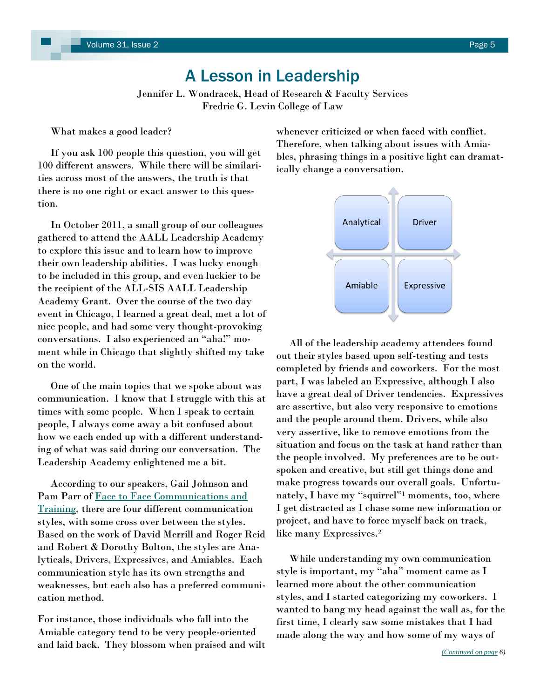# A Lesson in Leadership

Jennifer L. Wondracek, Head of Research & Faculty Services Fredric G. Levin College of Law

<span id="page-4-0"></span>What makes a good leader?

 If you ask 100 people this question, you will get 100 different answers. While there will be similarities across most of the answers, the truth is that there is no one right or exact answer to this question.

 In October 2011, a small group of our colleagues gathered to attend the AALL Leadership Academy to explore this issue and to learn how to improve their own leadership abilities. I was lucky enough to be included in this group, and even luckier to be the recipient of the ALL-SIS AALL Leadership Academy Grant. Over the course of the two day event in Chicago, I learned a great deal, met a lot of nice people, and had some very thought-provoking conversations. I also experienced an "aha!" moment while in Chicago that slightly shifted my take on the world.

 One of the main topics that we spoke about was communication. I know that I struggle with this at times with some people. When I speak to certain people, I always come away a bit confused about how we each ended up with a different understanding of what was said during our conversation. The Leadership Academy enlightened me a bit.

 According to our speakers, Gail Johnson and Pam Parr of [Face to Face Communications and](http://www.face2facetraining.com/)  [Training,](http://www.face2facetraining.com/) there are four different communication styles, with some cross over between the styles. Based on the work of David Merrill and Roger Reid and Robert & Dorothy Bolton, the styles are Analyticals, Drivers, Expressives, and Amiables. Each communication style has its own strengths and weaknesses, but each also has a preferred communication method.

For instance, those individuals who fall into the Amiable category tend to be very people-oriented and laid back. They blossom when praised and wilt whenever criticized or when faced with conflict. Therefore, when talking about issues with Amiables, phrasing things in a positive light can dramatically change a conversation.



 All of the leadership academy attendees found out their styles based upon self-testing and tests completed by friends and coworkers. For the most part, I was labeled an Expressive, although I also have a great deal of Driver tendencies. Expressives are assertive, but also very responsive to emotions and the people around them. Drivers, while also very assertive, like to remove emotions from the situation and focus on the task at hand rather than the people involved. My preferences are to be outspoken and creative, but still get things done and make progress towards our overall goals. Unfortunately, I have my "squirrel"<sup>1</sup> moments, too, where I get distracted as I chase some new information or project, and have to force myself back on track, like many Expressives.<sup>2</sup>

 While understanding my own communication style is important, my "aha" moment came as I learned more about the other communication styles, and I started categorizing my coworkers. I wanted to bang my head against the wall as, for the first time, I clearly saw some mistakes that I had made along the way and how some of my ways of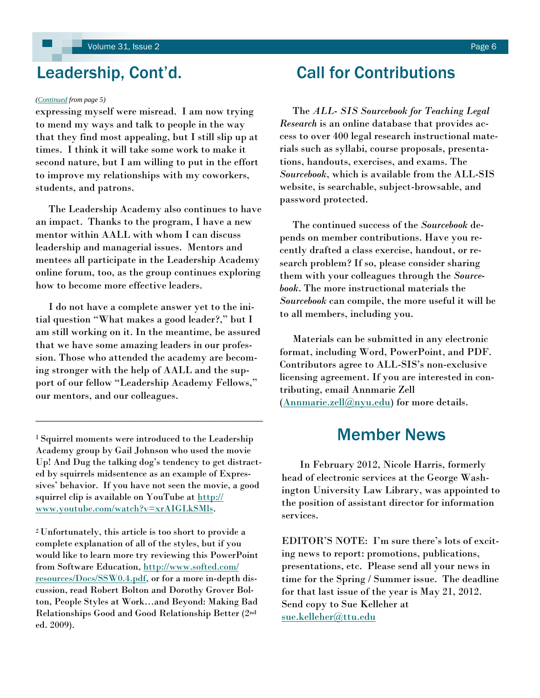#### *([Continued](#page-4-0) from page 5)*

expressing myself were misread. I am now trying to mend my ways and talk to people in the way that they find most appealing, but I still slip up at times. I think it will take some work to make it second nature, but I am willing to put in the effort to improve my relationships with my coworkers, students, and patrons.

 The Leadership Academy also continues to have an impact. Thanks to the program, I have a new mentor within AALL with whom I can discuss leadership and managerial issues. Mentors and mentees all participate in the Leadership Academy online forum, too, as the group continues exploring how to become more effective leaders.

 I do not have a complete answer yet to the initial question "What makes a good leader?," but I am still working on it. In the meantime, be assured that we have some amazing leaders in our profession. Those who attended the academy are becoming stronger with the help of AALL and the support of our fellow "Leadership Academy Fellows," our mentors, and our colleagues.

<sup>1</sup>Squirrel moments were introduced to the Leadership Academy group by Gail Johnson who used the movie Up! And Dug the talking dog's tendency to get distracted by squirrels midsentence as an example of Expressives' behavior. If you have not seen the movie, a good squirrel clip is available on YouTube at [http://](http://www.youtube.com/watch?v=xrAIGLkSMls) [www.youtube.com/watch?v=xrAIGLkSMls.](http://www.youtube.com/watch?v=xrAIGLkSMls) 

\_\_\_\_\_\_\_\_\_\_\_\_\_\_\_\_\_\_\_\_\_\_\_\_\_\_\_\_\_\_\_\_\_\_\_\_\_\_\_\_\_\_\_

<sup>2</sup>Unfortunately, this article is too short to provide a complete explanation of all of the styles, but if you would like to learn more try reviewing this PowerPoint from Software Education, [http://www.softed.com/](http://www.softed.com/resources/Docs/SSW0.4.pdf) [resources/Docs/SSW0.4.pdf,](http://www.softed.com/resources/Docs/SSW0.4.pdf) or for a more in-depth discussion, read Robert Bolton and Dorothy Grover Bolton, People Styles at Work…and Beyond: Making Bad Relationships Good and Good Relationship Better (2nd ed. 2009).

# <span id="page-5-0"></span>Leadership, Cont'd. Call for Contributions

 The *ALL- SIS Sourcebook for Teaching Legal Research* is an online database that provides access to over 400 legal research instructional materials such as syllabi, course proposals, presentations, handouts, exercises, and exams. The *Sourcebook*, which is available from the ALL-SIS website, is searchable, subject-browsable, and password protected.

 The continued success of the *Sourcebook* depends on member contributions. Have you recently drafted a class exercise, handout, or research problem? If so, please consider sharing them with your colleagues through the *Sourcebook*. The more instructional materials the *Sourcebook* can compile, the more useful it will be to all members, including you.

 Materials can be submitted in any electronic format, including Word, PowerPoint, and PDF. Contributors agree to ALL-SIS's non-exclusive licensing agreement. If you are interested in contributing, email Annmarie Zell ([Annmarie.zell@nyu.edu\)](mailto:Annmarie.zell@nyu.edu) for more details.

# Member News

 In February 2012, Nicole Harris, formerly head of electronic services at the George Washington University Law Library, was appointed to the position of assistant director for information services.

EDITOR'S NOTE: I'm sure there's lots of exciting news to report: promotions, publications, presentations, etc. Please send all your news in time for the Spring / Summer issue. The deadline for that last issue of the year is May 21, 2012. Send copy to Sue Kelleher at [sue.kelleher@ttu.edu](MailTo:sue.kelleher@ttu.edu)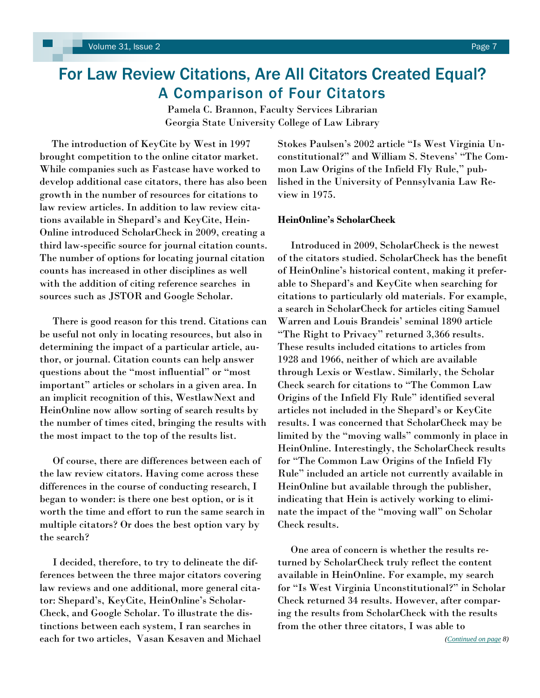# <span id="page-6-0"></span>For Law Review Citations, Are All Citators Created Equal? A Comparison of Four Citators

Pamela C. Brannon, Faculty Services Librarian Georgia State University College of Law Library

 The introduction of KeyCite by West in 1997 brought competition to the online citator market. While companies such as Fastcase have worked to develop additional case citators, there has also been growth in the number of resources for citations to law review articles. In addition to law review citations available in Shepard's and KeyCite, Hein-Online introduced ScholarCheck in 2009, creating a third law-specific source for journal citation counts. The number of options for locating journal citation counts has increased in other disciplines as well with the addition of citing reference searches in sources such as JSTOR and Google Scholar.

 There is good reason for this trend. Citations can be useful not only in locating resources, but also in determining the impact of a particular article, author, or journal. Citation counts can help answer questions about the "most influential" or "most important" articles or scholars in a given area. In an implicit recognition of this, WestlawNext and HeinOnline now allow sorting of search results by the number of times cited, bringing the results with the most impact to the top of the results list.

 Of course, there are differences between each of the law review citators. Having come across these differences in the course of conducting research, I began to wonder: is there one best option, or is it worth the time and effort to run the same search in multiple citators? Or does the best option vary by the search?

 I decided, therefore, to try to delineate the differences between the three major citators covering law reviews and one additional, more general citator: Shepard's, KeyCite, HeinOnline's Scholar-Check, and Google Scholar. To illustrate the distinctions between each system, I ran searches in each for two articles, Vasan Kesaven and Michael Stokes Paulsen's 2002 article "Is West Virginia Unconstitutional?" and William S. Stevens' "The Common Law Origins of the Infield Fly Rule," published in the University of Pennsylvania Law Review in 1975.

### **HeinOnline's ScholarCheck**

Introduced in 2009, ScholarCheck is the newest of the citators studied. ScholarCheck has the benefit of HeinOnline's historical content, making it preferable to Shepard's and KeyCite when searching for citations to particularly old materials. For example, a search in ScholarCheck for articles citing Samuel Warren and Louis Brandeis' seminal 1890 article "The Right to Privacy" returned 3,366 results. These results included citations to articles from 1928 and 1966, neither of which are available through Lexis or Westlaw. Similarly, the Scholar Check search for citations to "The Common Law Origins of the Infield Fly Rule" identified several articles not included in the Shepard's or KeyCite results. I was concerned that ScholarCheck may be limited by the "moving walls" commonly in place in HeinOnline. Interestingly, the ScholarCheck results for "The Common Law Origins of the Infield Fly Rule" included an article not currently available in HeinOnline but available through the publisher, indicating that Hein is actively working to eliminate the impact of the "moving wall" on Scholar Check results.

 One area of concern is whether the results returned by ScholarCheck truly reflect the content available in HeinOnline. For example, my search for "Is West Virginia Unconstitutional?" in Scholar Check returned 34 results. However, after comparing the results from ScholarCheck with the results from the other three citators, I was able to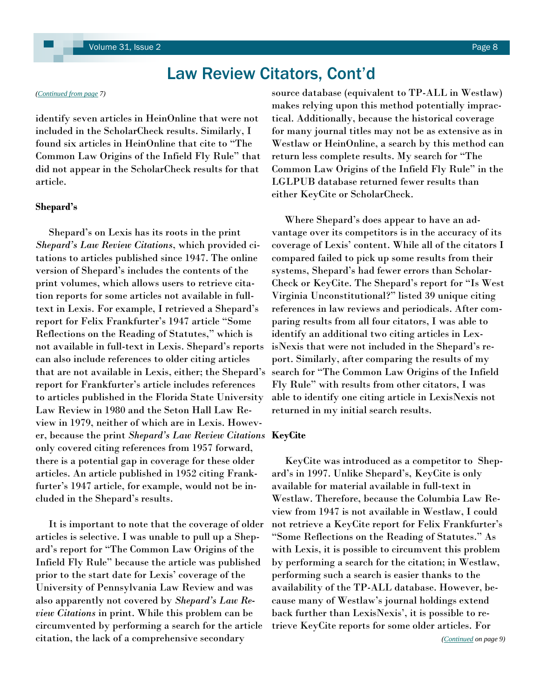# Law Review Citators, Cont'd

identify seven articles in HeinOnline that were not included in the ScholarCheck results. Similarly, I found six articles in HeinOnline that cite to "The Common Law Origins of the Infield Fly Rule" that did not appear in the ScholarCheck results for that article.

#### **Shepard's**

 Shepard's on Lexis has its roots in the print *Shepard's Law Review Citations*, which provided citations to articles published since 1947. The online version of Shepard's includes the contents of the print volumes, which allows users to retrieve citation reports for some articles not available in fulltext in Lexis. For example, I retrieved a Shepard's report for Felix Frankfurter's 1947 article ―Some Reflections on the Reading of Statutes," which is not available in full-text in Lexis. Shepard's reports can also include references to older citing articles that are not available in Lexis, either; the Shepard's report for Frankfurter's article includes references to articles published in the Florida State University Law Review in 1980 and the Seton Hall Law Review in 1979, neither of which are in Lexis. However, because the print *Shepard's Law Review Citations* **KeyCite** only covered citing references from 1957 forward, there is a potential gap in coverage for these older articles. An article published in 1952 citing Frankfurter's 1947 article, for example, would not be included in the Shepard's results.

 It is important to note that the coverage of older articles is selective. I was unable to pull up a Shepard's report for "The Common Law Origins of the Infield Fly Rule" because the article was published prior to the start date for Lexis' coverage of the University of Pennsylvania Law Review and was also apparently not covered by *Shepard's Law Review Citations* in print. While this problem can be circumvented by performing a search for the article citation, the lack of a comprehensive secondary

<span id="page-7-0"></span>*([Continued from page](#page-6-0) 7)* source database (equivalent to TP-ALL in Westlaw) makes relying upon this method potentially impractical. Additionally, because the historical coverage for many journal titles may not be as extensive as in Westlaw or HeinOnline, a search by this method can return less complete results. My search for "The Common Law Origins of the Infield Fly Rule" in the LGLPUB database returned fewer results than either KeyCite or ScholarCheck.

> Where Shepard's does appear to have an advantage over its competitors is in the accuracy of its coverage of Lexis' content. While all of the citators I compared failed to pick up some results from their systems, Shepard's had fewer errors than Scholar-Check or KeyCite. The Shepard's report for "Is West" Virginia Unconstitutional?‖ listed 39 unique citing references in law reviews and periodicals. After comparing results from all four citators, I was able to identify an additional two citing articles in LexisNexis that were not included in the Shepard's report. Similarly, after comparing the results of my search for "The Common Law Origins of the Infield Fly Rule" with results from other citators, I was able to identify one citing article in LexisNexis not returned in my initial search results.

 KeyCite was introduced as a competitor to Shepard's in 1997. Unlike Shepard's, KeyCite is only available for material available in full-text in Westlaw. Therefore, because the Columbia Law Review from 1947 is not available in Westlaw, I could not retrieve a KeyCite report for Felix Frankfurter's ―Some Reflections on the Reading of Statutes.‖ As with Lexis, it is possible to circumvent this problem by performing a search for the citation; in Westlaw, performing such a search is easier thanks to the availability of the TP-ALL database. However, because many of Westlaw's journal holdings extend back further than LexisNexis', it is possible to retrieve KeyCite reports for some older articles. For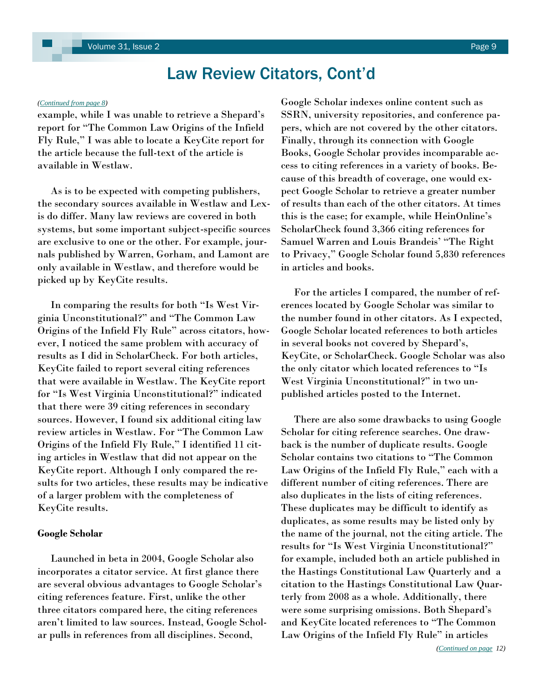# Law Review Citators, Cont'd

example, while I was unable to retrieve a Shepard's report for "The Common Law Origins of the Infield Fly Rule," I was able to locate a KeyCite report for the article because the full-text of the article is available in Westlaw.

 As is to be expected with competing publishers, the secondary sources available in Westlaw and Lexis do differ. Many law reviews are covered in both systems, but some important subject-specific sources are exclusive to one or the other. For example, journals published by Warren, Gorham, and Lamont are only available in Westlaw, and therefore would be picked up by KeyCite results.

In comparing the results for both "Is West Virginia Unconstitutional?" and "The Common Law Origins of the Infield Fly Rule" across citators, however, I noticed the same problem with accuracy of results as I did in ScholarCheck. For both articles, KeyCite failed to report several citing references that were available in Westlaw. The KeyCite report for "Is West Virginia Unconstitutional?" indicated that there were 39 citing references in secondary sources. However, I found six additional citing law review articles in Westlaw. For "The Common Law Origins of the Infield Fly Rule," I identified 11 citing articles in Westlaw that did not appear on the KeyCite report. Although I only compared the results for two articles, these results may be indicative of a larger problem with the completeness of KeyCite results.

#### **Google Scholar**

Launched in beta in 2004, Google Scholar also incorporates a citator service. At first glance there are several obvious advantages to Google Scholar's citing references feature. First, unlike the other three citators compared here, the citing references aren't limited to law sources. Instead, Google Scholar pulls in references from all disciplines. Second,

<span id="page-8-0"></span>*[\(Continued from page 8\)](#page-7-0)* Google Scholar indexes online content such as SSRN, university repositories, and conference papers, which are not covered by the other citators. Finally, through its connection with Google Books, Google Scholar provides incomparable access to citing references in a variety of books. Because of this breadth of coverage, one would expect Google Scholar to retrieve a greater number of results than each of the other citators. At times this is the case; for example, while HeinOnline's ScholarCheck found 3,366 citing references for Samuel Warren and Louis Brandeis' "The Right to Privacy," Google Scholar found 5,830 references in articles and books.

> For the articles I compared, the number of references located by Google Scholar was similar to the number found in other citators. As I expected, Google Scholar located references to both articles in several books not covered by Shepard's, KeyCite, or ScholarCheck. Google Scholar was also the only citator which located references to "Is West Virginia Unconstitutional?" in two unpublished articles posted to the Internet.

 There are also some drawbacks to using Google Scholar for citing reference searches. One drawback is the number of duplicate results. Google Scholar contains two citations to "The Common Law Origins of the Infield Fly Rule," each with a different number of citing references. There are also duplicates in the lists of citing references. These duplicates may be difficult to identify as duplicates, as some results may be listed only by the name of the journal, not the citing article. The results for "Is West Virginia Unconstitutional?" for example, included both an article published in the Hastings Constitutional Law Quarterly and a citation to the Hastings Constitutional Law Quarterly from 2008 as a whole. Additionally, there were some surprising omissions. Both Shepard's and KeyCite located references to "The Common Law Origins of the Infield Fly Rule" in articles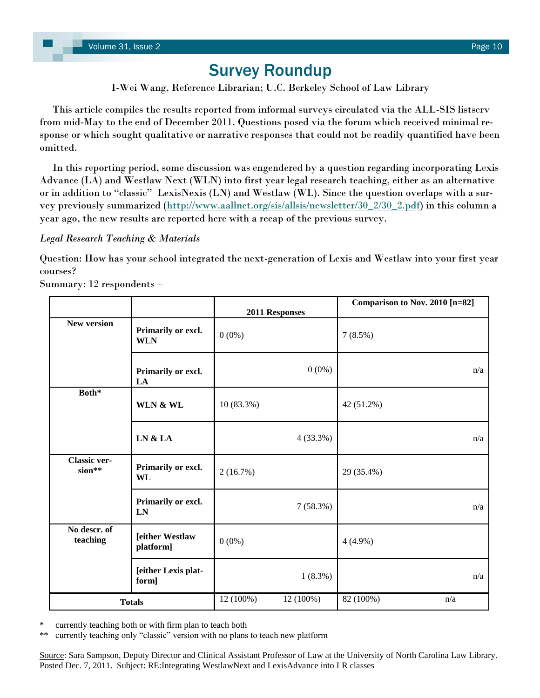# Survey Roundup

I-Wei Wang, Reference Librarian; U.C. Berkeley School of Law Library

<span id="page-9-0"></span> This article compiles the results reported from informal surveys circulated via the ALL-SIS listserv from mid-May to the end of December 2011. Questions posed via the forum which received minimal response or which sought qualitative or narrative responses that could not be readily quantified have been omitted.

 In this reporting period, some discussion was engendered by a question regarding incorporating Lexis Advance (LA) and Westlaw Next (WLN) into first year legal research teaching, either as an alternative or in addition to "classic" LexisNexis (LN) and Westlaw (WL). Since the question overlaps with a sur-vey previously summarized [\(http://www.aallnet.org/sis/allsis/newsletter/30\\_2/30\\_2.pdf\)](http://www.aallnet.org/sis/allsis/newsletter/30_2/30_2.pdf) in this column a year ago, the new results are reported here with a recap of the previous survey.

### *Legal Research Teaching & Materials*

Question: How has your school integrated the next-generation of Lexis and Westlaw into your first year courses?

Summary: 12 respondents –

|                               |                                  |            | 2011 Responses | Comparison to Nov. 2010 [n=82] |     |
|-------------------------------|----------------------------------|------------|----------------|--------------------------------|-----|
| <b>New version</b>            | Primarily or excl.<br><b>WLN</b> | $0(0\%)$   |                | 7(8.5%)                        |     |
|                               | Primarily or excl.<br>LA         |            | $0(0\%)$       |                                | n/a |
| Both*                         | WLN & WL                         | 10 (83.3%) |                | 42 (51.2%)                     |     |
|                               | LN & LA                          |            | 4(33.3%)       |                                | n/a |
| <b>Classic ver-</b><br>sion** | Primarily or excl.<br><b>WL</b>  | 2(16.7%)   |                | 29 (35.4%)                     |     |
|                               | Primarily or excl.<br>LN         |            | 7(58.3%)       |                                | n/a |
| No descr. of<br>teaching      | [either Westlaw<br>platform]     | $0(0\%)$   |                | $4(4.9\%)$                     |     |
|                               | [either Lexis plat-<br>form]     |            | $1(8.3\%)$     |                                | n/a |
|                               | <b>Totals</b>                    | 12 (100%)  | 12 (100%)      | 82 (100%)                      | n/a |

currently teaching both or with firm plan to teach both

currently teaching only "classic" version with no plans to teach new platform

Source: Sara Sampson, Deputy Director and Clinical Assistant Professor of Law at the University of North Carolina Law Library. Posted Dec. 7, 2011. Subject: RE:Integrating WestlawNext and LexisAdvance into LR classes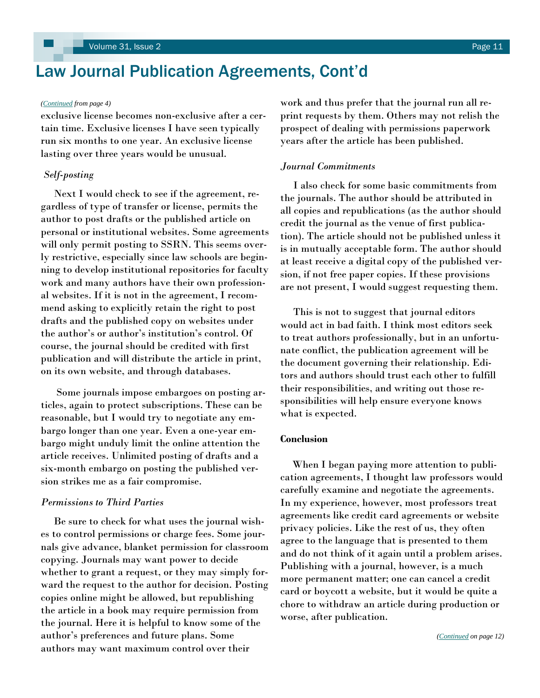# <span id="page-10-0"></span>Law Journal Publication Agreements, Cont'd

exclusive license becomes non-exclusive after a certain time. Exclusive licenses I have seen typically run six months to one year. An exclusive license lasting over three years would be unusual.

#### *Self-posting*

 Next I would check to see if the agreement, regardless of type of transfer or license, permits the author to post drafts or the published article on personal or institutional websites. Some agreements will only permit posting to SSRN. This seems overly restrictive, especially since law schools are beginning to develop institutional repositories for faculty work and many authors have their own professional websites. If it is not in the agreement, I recommend asking to explicitly retain the right to post drafts and the published copy on websites under the author's or author's institution's control. Of course, the journal should be credited with first publication and will distribute the article in print, on its own website, and through databases.

 Some journals impose embargoes on posting articles, again to protect subscriptions. These can be reasonable, but I would try to negotiate any embargo longer than one year. Even a one-year embargo might unduly limit the online attention the article receives. Unlimited posting of drafts and a six-month embargo on posting the published version strikes me as a fair compromise.

#### *Permissions to Third Parties*

Be sure to check for what uses the journal wishes to control permissions or charge fees. Some journals give advance, blanket permission for classroom copying. Journals may want power to decide whether to grant a request, or they may simply forward the request to the author for decision. Posting copies online might be allowed, but republishing the article in a book may require permission from the journal. Here it is helpful to know some of the author's preferences and future plans. Some authors may want maximum control over their

*([Continued](#page-3-0) from page 4)* work and thus prefer that the journal run all reprint requests by them. Others may not relish the prospect of dealing with permissions paperwork years after the article has been published.

#### *Journal Commitments*

 I also check for some basic commitments from the journals. The author should be attributed in all copies and republications (as the author should credit the journal as the venue of first publication). The article should not be published unless it is in mutually acceptable form. The author should at least receive a digital copy of the published version, if not free paper copies. If these provisions are not present, I would suggest requesting them.

 This is not to suggest that journal editors would act in bad faith. I think most editors seek to treat authors professionally, but in an unfortunate conflict, the publication agreement will be the document governing their relationship. Editors and authors should trust each other to fulfill their responsibilities, and writing out those responsibilities will help ensure everyone knows what is expected.

#### **Conclusion**

 When I began paying more attention to publication agreements, I thought law professors would carefully examine and negotiate the agreements. In my experience, however, most professors treat agreements like credit card agreements or website privacy policies. Like the rest of us, they often agree to the language that is presented to them and do not think of it again until a problem arises. Publishing with a journal, however, is a much more permanent matter; one can cancel a credit card or boycott a website, but it would be quite a chore to withdraw an article during production or worse, after publication.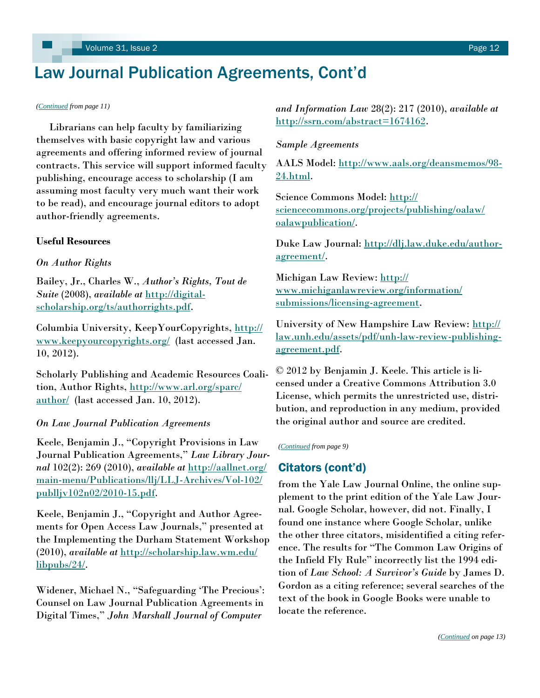# <span id="page-11-0"></span>Law Journal Publication Agreements, Cont'd

 Librarians can help faculty by familiarizing themselves with basic copyright law and various agreements and offering informed review of journal contracts. This service will support informed faculty publishing, encourage access to scholarship (I am assuming most faculty very much want their work to be read), and encourage journal editors to adopt author-friendly agreements.

#### **Useful Resources**

#### *On Author Rights*

Bailey, Jr., Charles W., *Author's Rights, Tout de Suite* (2008), *available at* [http://digital](http://digital-scholarship.org/ts/authorrights.pdf)[scholarship.org/ts/authorrights.pdf.](http://digital-scholarship.org/ts/authorrights.pdf)

Columbia University, KeepYourCopyrights, [http://](http://www.keepyourcopyrights.org/) [www.keepyourcopyrights.org/](http://www.keepyourcopyrights.org/) (last accessed Jan. 10, 2012).

Scholarly Publishing and Academic Resources Coalition, Author Rights, [http://www.arl.org/sparc/](http://www.arl.org/sparc/author/) [author/](http://www.arl.org/sparc/author/) (last accessed Jan. 10, 2012).

#### *On Law Journal Publication Agreements*

Keele, Benjamin J., "Copyright Provisions in Law Journal Publication Agreements," Law Library Jour*nal* 102(2): 269 (2010), *available at* [http://aallnet.org/](http://aallnet.org/main-menu/Publications/llj/LLJ-Archives/Vol-102/publljv102n02/2010-15.pdf) [main-menu/Publications/llj/LLJ-Archives/Vol-102/](http://aallnet.org/main-menu/Publications/llj/LLJ-Archives/Vol-102/publljv102n02/2010-15.pdf)  $publliv102n02/2010-15.pdf.$ 

Keele, Benjamin J., "Copyright and Author Agreements for Open Access Law Journals," presented at the Implementing the Durham Statement Workshop (2010), *available at* [http://scholarship.law.wm.edu/](http://scholarship.law.wm.edu/libpubs/24/) [libpubs/24/.](http://scholarship.law.wm.edu/libpubs/24/) 

Widener, Michael N., "Safeguarding 'The Precious': Counsel on Law Journal Publication Agreements in Digital Times,‖ *John Marshall Journal of Computer* 

*([Continued](#page-10-0) from page 11) and Information Law* 28(2): 217 (2010), *available at* [http://ssrn.com/abstract=1674162.](http://ssrn.com/abstract=1674162)

#### *Sample Agreements*

AALS Model: [http://www.aals.org/deansmemos/98-](http://www.aals.org/deansmemos/98-24.html) [24.html.](http://www.aals.org/deansmemos/98-24.html)

Science Commons Model: [http://](http://sciencecommons.org/projects/publishing/oalaw/oalawpublication/) [sciencecommons.org/projects/publishing/oalaw/](http://sciencecommons.org/projects/publishing/oalaw/oalawpublication/) [oalawpublication/.](http://sciencecommons.org/projects/publishing/oalaw/oalawpublication/)

Duke Law Journal: [http://dlj.law.duke.edu/author](http://dlj.law.duke.edu/author-agreement/)[agreement/.](http://dlj.law.duke.edu/author-agreement/) 

Michigan Law Review: [http://](http://www.michiganlawreview.org/information/submissions/licensing-agreement) [www.michiganlawreview.org/information/](http://www.michiganlawreview.org/information/submissions/licensing-agreement) [submissions/licensing-agreement.](http://www.michiganlawreview.org/information/submissions/licensing-agreement)

University of New Hampshire Law Review: [http://](http://law.unh.edu/assets/pdf/unh-law-review-publishing-agreement.pdf) [law.unh.edu/assets/pdf/unh-law-review-publishing](http://law.unh.edu/assets/pdf/unh-law-review-publishing-agreement.pdf)[agreement.pdf.](http://law.unh.edu/assets/pdf/unh-law-review-publishing-agreement.pdf)

© 2012 by Benjamin J. Keele. This article is licensed under a Creative Commons Attribution 3.0 License, which permits the unrestricted use, distribution, and reproduction in any medium, provided the original author and source are credited.

*[\(Continued](#page-8-0) from page 9)* 

### Citators (cont'd)

from the Yale Law Journal Online, the online supplement to the print edition of the Yale Law Journal. Google Scholar, however, did not. Finally, I found one instance where Google Scholar, unlike the other three citators, misidentified a citing reference. The results for "The Common Law Origins of the Infield Fly Rule" incorrectly list the 1994 edition of *Law School: A Survivor's Guide* by James D. Gordon as a citing reference; several searches of the text of the book in Google Books were unable to locate the reference.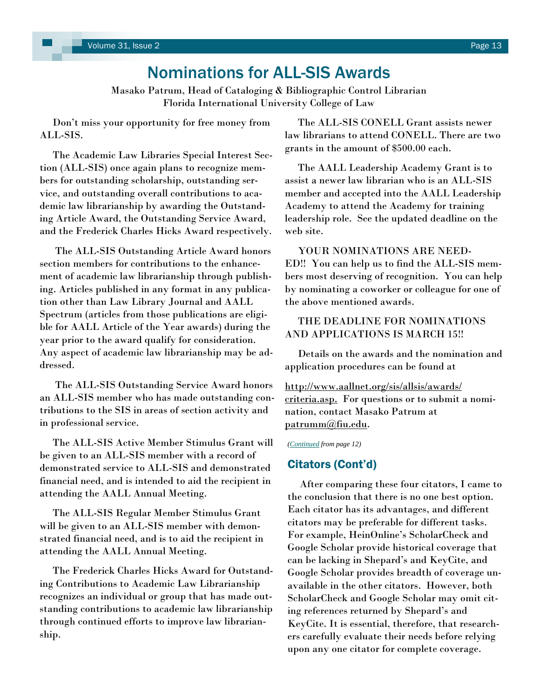# Nominations for ALL-SIS Awards

Masako Patrum, Head of Cataloging & Bibliographic Control Librarian Florida International University College of Law

<span id="page-12-0"></span> Don't miss your opportunity for free money from ALL-SIS.

 The Academic Law Libraries Special Interest Section (ALL-SIS) once again plans to recognize members for outstanding scholarship, outstanding service, and outstanding overall contributions to academic law librarianship by awarding the Outstanding Article Award, the Outstanding Service Award, and the Frederick Charles Hicks Award respectively.

 The ALL-SIS Outstanding Article Award honors section members for contributions to the enhancement of academic law librarianship through publishing. Articles published in any format in any publication other than Law Library Journal and AALL Spectrum (articles from those publications are eligible for AALL Article of the Year awards) during the year prior to the award qualify for consideration. Any aspect of academic law librarianship may be addressed.

 The ALL-SIS Outstanding Service Award honors an ALL-SIS member who has made outstanding contributions to the SIS in areas of section activity and in professional service.

 The ALL-SIS Active Member Stimulus Grant will be given to an ALL-SIS member with a record of demonstrated service to ALL-SIS and demonstrated financial need, and is intended to aid the recipient in attending the AALL Annual Meeting.

 The ALL-SIS Regular Member Stimulus Grant will be given to an ALL-SIS member with demonstrated financial need, and is to aid the recipient in attending the AALL Annual Meeting.

 The Frederick Charles Hicks Award for Outstanding Contributions to Academic Law Librarianship recognizes an individual or group that has made outstanding contributions to academic law librarianship through continued efforts to improve law librarianship.

 The ALL-SIS CONELL Grant assists newer law librarians to attend CONELL. There are two grants in the amount of \$500.00 each.

 The AALL Leadership Academy Grant is to assist a newer law librarian who is an ALL-SIS member and accepted into the AALL Leadership Academy to attend the Academy for training leadership role. See the updated deadline on the web site.

 YOUR NOMINATIONS ARE NEED-ED!! You can help us to find the ALL-SIS members most deserving of recognition. You can help by nominating a coworker or colleague for one of the above mentioned awards.

### THE DEADLINE FOR NOMINATIONS AND APPLICATIONS IS MARCH 15!!

 Details on the awards and the nomination and application procedures can be found at

[http://www.aallnet.org/sis/allsis/awards/](http://www.aallnet.org/sis/allsis/awards/criteria.asp) [criteria.asp.](http://www.aallnet.org/sis/allsis/awards/criteria.asp) For questions or to submit a nomination, contact Masako Patrum at [patrumm@fiu.edu.](mailto:patrumm@fiu.edu) 

*([Continued](#page-11-0) from page 12)*

### Citators (Cont'd)

 After comparing these four citators, I came to the conclusion that there is no one best option. Each citator has its advantages, and different citators may be preferable for different tasks. For example, HeinOnline's ScholarCheck and Google Scholar provide historical coverage that can be lacking in Shepard's and KeyCite, and Google Scholar provides breadth of coverage unavailable in the other citators. However, both ScholarCheck and Google Scholar may omit citing references returned by Shepard's and KeyCite. It is essential, therefore, that researchers carefully evaluate their needs before relying upon any one citator for complete coverage.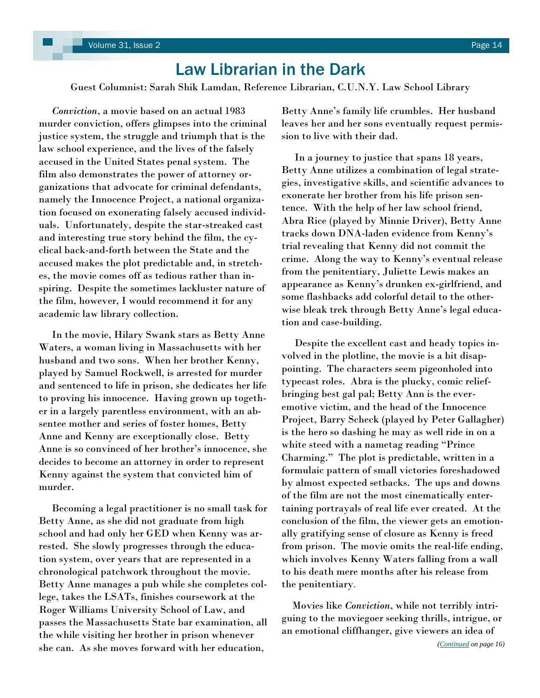# Law Librarian in the Dark

<span id="page-13-0"></span>Guest Columnist: Sarah Shik Lamdan, Reference Librarian, C.U.N.Y. Law School Library

 *Conviction*, a movie based on an actual 1983 murder conviction, offers glimpses into the criminal justice system, the struggle and triumph that is the law school experience, and the lives of the falsely accused in the United States penal system. The film also demonstrates the power of attorney organizations that advocate for criminal defendants, namely the Innocence Project, a national organization focused on exonerating falsely accused individuals. Unfortunately, despite the star-streaked cast and interesting true story behind the film, the cyclical back-and-forth between the State and the accused makes the plot predictable and, in stretches, the movie comes off as tedious rather than inspiring. Despite the sometimes lackluster nature of the film, however, I would recommend it for any academic law library collection.

 In the movie, Hilary Swank stars as Betty Anne Waters, a woman living in Massachusetts with her husband and two sons. When her brother Kenny, played by Samuel Rockwell, is arrested for murder and sentenced to life in prison, she dedicates her life to proving his innocence. Having grown up together in a largely parentless environment, with an absentee mother and series of foster homes, Betty Anne and Kenny are exceptionally close. Betty Anne is so convinced of her brother's innocence, she decides to become an attorney in order to represent Kenny against the system that convicted him of murder.

 Becoming a legal practitioner is no small task for Betty Anne, as she did not graduate from high school and had only her GED when Kenny was arrested. She slowly progresses through the education system, over years that are represented in a chronological patchwork throughout the movie. Betty Anne manages a pub while she completes college, takes the LSATs, finishes coursework at the Roger Williams University School of Law, and passes the Massachusetts State bar examination, all the while visiting her brother in prison whenever she can. As she moves forward with her education,

Betty Anne's family life crumbles. Her husband leaves her and her sons eventually request permission to live with their dad.

 In a journey to justice that spans 18 years, Betty Anne utilizes a combination of legal strategies, investigative skills, and scientific advances to exonerate her brother from his life prison sentence. With the help of her law school friend, Abra Rice (played by Minnie Driver), Betty Anne tracks down DNA-laden evidence from Kenny's trial revealing that Kenny did not commit the crime. Along the way to Kenny's eventual release from the penitentiary, Juliette Lewis makes an appearance as Kenny's drunken ex-girlfriend, and some flashbacks add colorful detail to the otherwise bleak trek through Betty Anne's legal education and case-building.

 Despite the excellent cast and heady topics involved in the plotline, the movie is a bit disappointing. The characters seem pigeonholed into typecast roles. Abra is the plucky, comic reliefbringing best gal pal; Betty Ann is the everemotive victim, and the head of the Innocence Project, Barry Scheck (played by Peter Gallagher) is the hero so dashing he may as well ride in on a white steed with a nametag reading "Prince Charming.‖ The plot is predictable, written in a formulaic pattern of small victories foreshadowed by almost expected setbacks. The ups and downs of the film are not the most cinematically entertaining portrayals of real life ever created. At the conclusion of the film, the viewer gets an emotionally gratifying sense of closure as Kenny is freed from prison. The movie omits the real-life ending, which involves Kenny Waters falling from a wall to his death mere months after his release from the penitentiary.

 Movies like *Conviction*, while not terribly intriguing to the moviegoer seeking thrills, intrigue, or an emotional cliffhanger, give viewers an idea of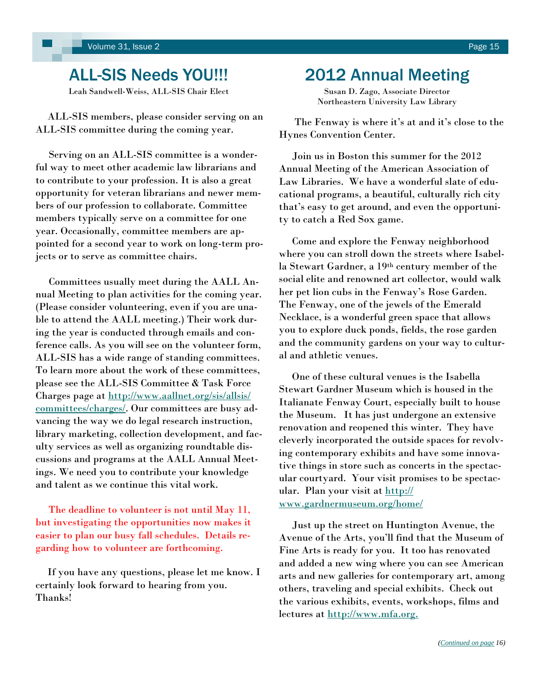# <span id="page-14-0"></span>ALL-SIS Needs YOU!!!

Leah Sandwell-Weiss, ALL-SIS Chair Elect

 ALL-SIS members, please consider serving on an ALL-SIS committee during the coming year.

 Serving on an ALL-SIS committee is a wonderful way to meet other academic law librarians and to contribute to your profession. It is also a great opportunity for veteran librarians and newer members of our profession to collaborate. Committee members typically serve on a committee for one year. Occasionally, committee members are appointed for a second year to work on long-term projects or to serve as committee chairs.

 Committees usually meet during the AALL Annual Meeting to plan activities for the coming year. (Please consider volunteering, even if you are unable to attend the AALL meeting.) Their work during the year is conducted through emails and conference calls. As you will see on the volunteer form, ALL-SIS has a wide range of standing committees. To learn more about the work of these committees, please see the ALL-SIS Committee & Task Force Charges page at [http://www.aallnet.org/sis/allsis/](http://www.aallnet.org/sis/allsis/committees/charges/) [committees/charges/.](http://www.aallnet.org/sis/allsis/committees/charges/) Our committees are busy advancing the way we do legal research instruction, library marketing, collection development, and faculty services as well as organizing roundtable discussions and programs at the AALL Annual Meetings. We need you to contribute your knowledge and talent as we continue this vital work.

 The deadline to volunteer is not until May 11, but investigating the opportunities now makes it easier to plan our busy fall schedules. Details regarding how to volunteer are forthcoming.

 If you have any questions, please let me know. I certainly look forward to hearing from you. Thanks!

## 2012 Annual Meeting

Susan D. Zago, Associate Director Northeastern University Law Library

 The Fenway is where it's at and it's close to the Hynes Convention Center.

 Join us in Boston this summer for the 2012 Annual Meeting of the American Association of Law Libraries. We have a wonderful slate of educational programs, a beautiful, culturally rich city that's easy to get around, and even the opportunity to catch a Red Sox game.

 Come and explore the Fenway neighborhood where you can stroll down the streets where Isabella Stewart Gardner, a 19th century member of the social elite and renowned art collector, would walk her pet lion cubs in the Fenway's Rose Garden. The Fenway, one of the jewels of the Emerald Necklace, is a wonderful green space that allows you to explore duck ponds, fields, the rose garden and the community gardens on your way to cultural and athletic venues.

 One of these cultural venues is the Isabella Stewart Gardner Museum which is housed in the Italianate Fenway Court, especially built to house the Museum. It has just undergone an extensive renovation and reopened this winter. They have cleverly incorporated the outside spaces for revolving contemporary exhibits and have some innovative things in store such as concerts in the spectacular courtyard. Your visit promises to be spectacular. Plan your visit at [http://](http://www.gardnermuseum.org/home/) [www.gardnermuseum.org/home/](http://www.gardnermuseum.org/home/)

 Just up the street on Huntington Avenue, the Avenue of the Arts, you'll find that the Museum of Fine Arts is ready for you. It too has renovated and added a new wing where you can see American arts and new galleries for contemporary art, among others, traveling and special exhibits. Check out the various exhibits, events, workshops, films and lectures at [http://www.mfa.org.](http://www.mfa.org./)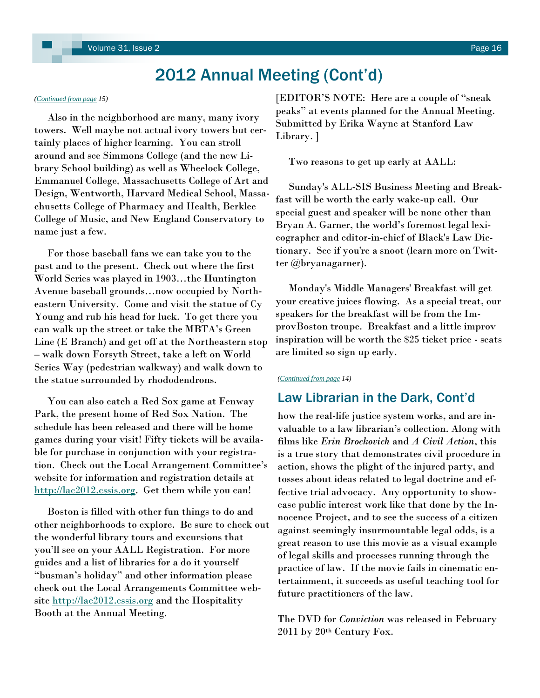# 2012 Annual Meeting (Cont'd)

#### <span id="page-15-0"></span>*([Continued from page](#page-14-0) 15)*

 Also in the neighborhood are many, many ivory towers. Well maybe not actual ivory towers but certainly places of higher learning. You can stroll around and see Simmons College (and the new Library School building) as well as Wheelock College, Emmanuel College, Massachusetts College of Art and Design, Wentworth, Harvard Medical School, Massachusetts College of Pharmacy and Health, Berklee College of Music, and New England Conservatory to name just a few.

 For those baseball fans we can take you to the past and to the present. Check out where the first World Series was played in 1903…the Huntington Avenue baseball grounds…now occupied by Northeastern University. Come and visit the statue of Cy Young and rub his head for luck. To get there you can walk up the street or take the MBTA's Green Line (E Branch) and get off at the Northeastern stop – walk down Forsyth Street, take a left on World Series Way (pedestrian walkway) and walk down to the statue surrounded by rhododendrons.

 You can also catch a Red Sox game at Fenway Park, the present home of Red Sox Nation. The schedule has been released and there will be home games during your visit! Fifty tickets will be available for purchase in conjunction with your registration. Check out the Local Arrangement Committee's website for information and registration details at [http://lac2012.cssis.org.](http://lac2012.cssis.org) Get them while you can!

 Boston is filled with other fun things to do and other neighborhoods to explore. Be sure to check out the wonderful library tours and excursions that you'll see on your AALL Registration. For more guides and a list of libraries for a do it yourself "busman's holiday" and other information please check out the Local Arrangements Committee website<http://lac2012.cssis.org> and the Hospitality Booth at the Annual Meeting.

[EDITOR'S NOTE: Here are a couple of "sneak" peaks" at events planned for the Annual Meeting. Submitted by Erika Wayne at Stanford Law Library. ]

Two reasons to get up early at AALL:

 Sunday's ALL-SIS Business Meeting and Breakfast will be worth the early wake-up call. Our special guest and speaker will be none other than Bryan A. Garner, the world's foremost legal lexicographer and editor-in-chief of Black's Law Dictionary. See if you're a snoot (learn more on Twitter @bryanagarner).

 Monday's Middle Managers' Breakfast will get your creative juices flowing. As a special treat, our speakers for the breakfast will be from the ImprovBoston troupe. Breakfast and a little improv inspiration will be worth the \$25 ticket price - seats are limited so sign up early.

#### *([Continued from page](#page-13-0) 14)*

### Law Librarian in the Dark, Cont'd

how the real-life justice system works, and are invaluable to a law librarian's collection. Along with films like *Erin Brockovich* and *A Civil Action*, this is a true story that demonstrates civil procedure in action, shows the plight of the injured party, and tosses about ideas related to legal doctrine and effective trial advocacy. Any opportunity to showcase public interest work like that done by the Innocence Project, and to see the success of a citizen against seemingly insurmountable legal odds, is a great reason to use this movie as a visual example of legal skills and processes running through the practice of law. If the movie fails in cinematic entertainment, it succeeds as useful teaching tool for future practitioners of the law.

The DVD for *Conviction* was released in February 2011 by 20th Century Fox.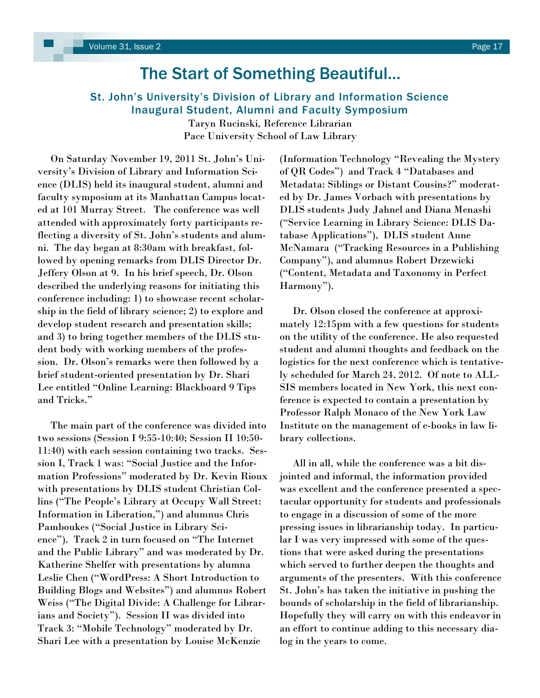# The Start of Something Beautiful…

### <span id="page-16-0"></span>St. John's University's Division of Library and Information Science Inaugural Student, Alumni and Faculty Symposium

Taryn Rucinski, Reference Librarian Pace University School of Law Library

 On Saturday November 19, 2011 St. John's University's Division of Library and Information Science (DLIS) held its inaugural student, alumni and faculty symposium at its Manhattan Campus located at 101 Murray Street. The conference was well attended with approximately forty participants reflecting a diversity of St. John's students and alumni. The day began at 8:30am with breakfast, followed by opening remarks from DLIS Director Dr. Jeffery Olson at 9. In his brief speech, Dr. Olson described the underlying reasons for initiating this conference including: 1) to showcase recent scholarship in the field of library science; 2) to explore and develop student research and presentation skills; and 3) to bring together members of the DLIS student body with working members of the profession. Dr. Olson's remarks were then followed by a brief student-oriented presentation by Dr. Shari Lee entitled "Online Learning: Blackboard 9 Tips and Tricks."

 The main part of the conference was divided into two sessions (Session I 9:55-10:40; Session II 10:50- 11:40) with each session containing two tracks. Session I, Track 1 was: "Social Justice and the Information Professions" moderated by Dr. Kevin Rioux with presentations by DLIS student Christian Collins ("The People's Library at Occupy Wall Street: Information in Liberation,") and alumnus Chris Pamboukes ("Social Justice in Library Science"). Track 2 in turn focused on "The Internet and the Public Library" and was moderated by Dr. Katherine Shelfer with presentations by alumna Leslie Chen ("WordPress: A Short Introduction to Building Blogs and Websites") and alumnus Robert Weiss ("The Digital Divide: A Challenge for Librarians and Society"). Session II was divided into Track 3: "Mobile Technology" moderated by Dr. Shari Lee with a presentation by Louise McKenzie

(Information Technology "Revealing the Mystery of QR Codes") and Track 4 "Databases and Metadata: Siblings or Distant Cousins?" moderated by Dr. James Vorbach with presentations by DLIS students Judy Jahnel and Diana Menashi (―Service Learning in Library Science: DLIS Database Applications"), DLIS student Anne McNamara ("Tracking Resources in a Publishing") Company"), and alumnus Robert Drzewicki (―Content, Metadata and Taxonomy in Perfect Harmony").

 Dr. Olson closed the conference at approximately 12:15pm with a few questions for students on the utility of the conference. He also requested student and alumni thoughts and feedback on the logistics for the next conference which is tentatively scheduled for March 24, 2012. Of note to ALL-SIS members located in New York, this next conference is expected to contain a presentation by Professor Ralph Monaco of the New York Law Institute on the management of e-books in law library collections.

 All in all, while the conference was a bit disjointed and informal, the information provided was excellent and the conference presented a spectacular opportunity for students and professionals to engage in a discussion of some of the more pressing issues in librarianship today. In particular I was very impressed with some of the questions that were asked during the presentations which served to further deepen the thoughts and arguments of the presenters. With this conference St. John's has taken the initiative in pushing the bounds of scholarship in the field of librarianship. Hopefully they will carry on with this endeavor in an effort to continue adding to this necessary dialog in the years to come.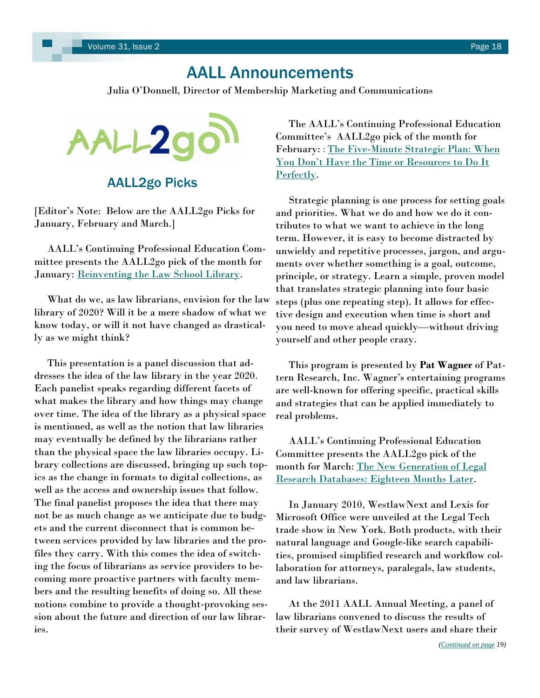# AALL Announcements

Julia O'Donnell, Director of Membership Marketing and Communications

<span id="page-17-0"></span>

AALL2go Picks

[Editor's Note: Below are the AALL2go Picks for January, February and March.]

 AALL's Continuing Professional Education Committee presents the AALL2go pick of the month for January: <u>Reinventing the Law School Library</u>.

 What do we, as law librarians, envision for the law library of 2020? Will it be a mere shadow of what we know today, or will it not have changed as drastically as we might think?

 This presentation is a panel discussion that addresses the idea of the law library in the year 2020. Each panelist speaks regarding different facets of what makes the library and how things may change over time. The idea of the library as a physical space is mentioned, as well as the notion that law libraries may eventually be defined by the librarians rather than the physical space the law libraries occupy. Library collections are discussed, bringing up such topics as the change in formats to digital collections, as well as the access and ownership issues that follow. The final panelist proposes the idea that there may not be as much change as we anticipate due to budgets and the current disconnect that is common between services provided by law libraries and the profiles they carry. With this comes the idea of switching the focus of librarians as service providers to becoming more proactive partners with faculty members and the resulting benefits of doing so. All these notions combine to provide a thought-provoking session about the future and direction of our law libraries.

 The AALL's Continuing Professional Education Committee's AALL2go pick of the month for February: : The Five-Minute Strategic Plan: When [You Don't Have the Time or Resources to Do It](http://www.softconference.com/aall/sessionDetail.asp?SID=262428)  [Perfectly.](http://www.softconference.com/aall/sessionDetail.asp?SID=262428)

 Strategic planning is one process for setting goals and priorities. What we do and how we do it contributes to what we want to achieve in the long term. However, it is easy to become distracted by unwieldy and repetitive processes, jargon, and arguments over whether something is a goal, outcome, principle, or strategy. Learn a simple, proven model that translates strategic planning into four basic steps (plus one repeating step). It allows for effective design and execution when time is short and you need to move ahead quickly—without driving yourself and other people crazy.

 This program is presented by **Pat Wagner** of Pattern Research, Inc. Wagner's entertaining programs are well-known for offering specific, practical skills and strategies that can be applied immediately to real problems.

 AALL's Continuing Professional Education Committee presents the AALL2go pick of the month for March: [The New Generation of Legal](http://www.softconference.com/aall/sessionDetail.asp?SID=250810)  [Research Databases: Eighteen Months Later.](http://www.softconference.com/aall/sessionDetail.asp?SID=250810)

 In January 2010, WestlawNext and Lexis for Microsoft Office were unveiled at the Legal Tech trade show in New York. Both products, with their natural language and Google-like search capabilities, promised simplified research and workflow collaboration for attorneys, paralegals, law students, and law librarians.

 At the 2011 AALL Annual Meeting, a panel of law librarians convened to discuss the results of their survey of WestlawNext users and share their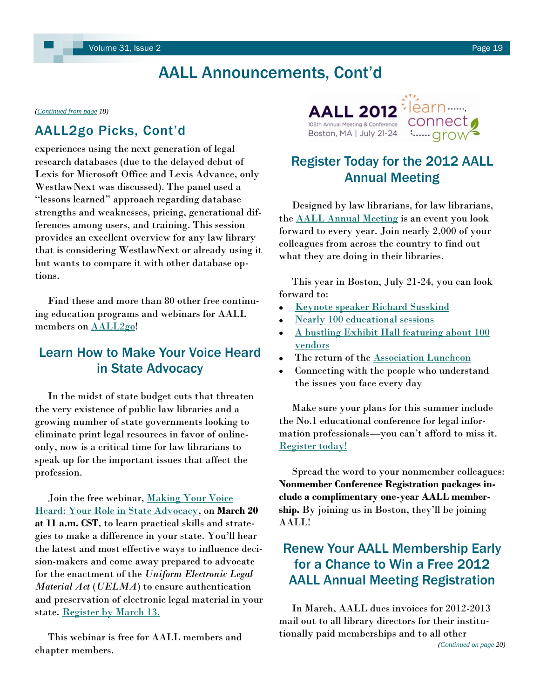# AALL Announcements, Cont'd

<span id="page-18-0"></span>*[\(Continued from page](#page-17-0) 18)*

## AALL2go Picks, Cont'd

experiences using the next generation of legal research databases (due to the delayed debut of Lexis for Microsoft Office and Lexis Advance, only WestlawNext was discussed). The panel used a ―lessons learned‖ approach regarding database strengths and weaknesses, pricing, generational differences among users, and training. This session provides an excellent overview for any law library that is considering WestlawNext or already using it but wants to compare it with other database options.

 Find these and more than 80 other free continuing education programs and webinars for AALL members on **AALL2go!** 

## Learn How to Make Your Voice Heard in State Advocacy

 In the midst of state budget cuts that threaten the very existence of public law libraries and a growing number of state governments looking to eliminate print legal resources in favor of onlineonly, now is a critical time for law librarians to speak up for the important issues that affect the profession.

Join the free webinar, Making Your Voice [Heard: Your Role in State Advocacy,](http://www.aallnet.org/Home-page-contents/Events/Making-Your-Voice-Heard-Your-Role-in-State-Advocacy.html) on **March 20 at 11 a.m. CST**, to learn practical skills and strategies to make a difference in your state. You'll hear the latest and most effective ways to influence decision-makers and come away prepared to advocate for the enactment of the *Uniform Electronic Legal Material Act* (*UELMA*) to ensure authentication and preservation of electronic legal material in your state. [Register by March 13.](https://www1.gotomeeting.com/register/680497345)

 This webinar is free for AALL members and chapter members.



# Register Today for the 2012 AALL Annual Meeting

 Designed by law librarians, for law librarians, the [AALL Annual Meeting](http://www.aallnet.org/conference) is an event you look forward to every year. Join nearly 2,000 of your colleagues from across the country to find out what they are doing in their libraries.

 This year in Boston, July 21-24, you can look forward to:

- [Keynote speaker Richard Susskind](http://www.aallnet.org/conference/education/keynote.html)
- [Nearly 100 educational sessions](http://aall12.sched.org/overview/type/programs)
- [A bustling Exhibit Hall featuring about 100](http://iebms.heiexpo.com/iebms/oep/oep_p1_exhibitors.aspx?oc=13&ct=OEP&eventid=5022)  [vendors](http://iebms.heiexpo.com/iebms/oep/oep_p1_exhibitors.aspx?oc=13&ct=OEP&eventid=5022)
- The return of the [Association Luncheon](http://www.aallnet.org/conference/while-there/networking/association-luncheon.html)
- Connecting with the people who understand the issues you face every day

 Make sure your plans for this summer include the No.1 educational conference for legal information professionals—you can't afford to miss it. [Register today!](http://www.aallnet.org/conference/get-there/registration)

 Spread the word to your nonmember colleagues: **Nonmember Conference Registration packages include a complimentary one-year AALL membership.** By joining us in Boston, they'll be joining AALL!

# Renew Your AALL Membership Early for a Chance to Win a Free 2012 AALL Annual Meeting Registration

 In March, AALL dues invoices for 2012-2013 mail out to all library directors for their institutionally paid memberships and to all other *([Continued on page](#page-19-0) 20)*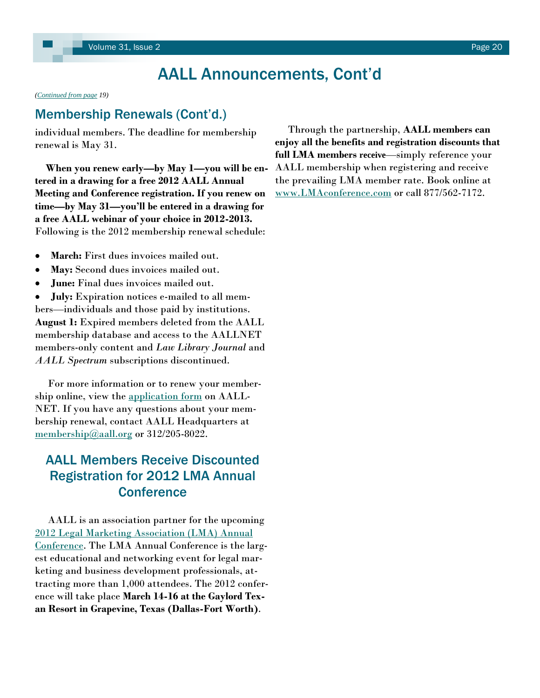# AALL Announcements, Cont'd

<span id="page-19-0"></span>*[\(Continued from page](#page-18-0) 19)*

## Membership Renewals (Cont'd.)

individual members. The deadline for membership renewal is May 31.

 **When you renew early—by May 1—you will be entered in a drawing for a free 2012 AALL Annual Meeting and Conference registration. If you renew on time—by May 31—you'll be entered in a drawing for a free AALL webinar of your choice in 2012-2013.** Following is the 2012 membership renewal schedule:

- **March:** First dues invoices mailed out.
- **May:** Second dues invoices mailed out.
- **June:** Final dues invoices mailed out.  $\bullet$

**July:** Expiration notices e-mailed to all mem- $\bullet$ bers—individuals and those paid by institutions. **August 1:** Expired members deleted from the AALL membership database and access to the AALLNET members-only content and *Law Library Journal* and *AALL Spectrum* subscriptions discontinued.

 For more information or to renew your membership online, view the [application form](http://www.aallnet.org/join) on AALL-NET. If you have any questions about your membership renewal, contact AALL Headquarters at [membership@aall.org](mailto:membership@aall.org) or 312/205-8022.

## AALL Members Receive Discounted Registration for 2012 LMA Annual **Conference**

 AALL is an association partner for the upcoming [2012 Legal Marketing Association \(LMA\) Annual](http://lmaconference.com/index.html)  [Conference.](http://lmaconference.com/index.html) The LMA Annual Conference is the largest educational and networking event for legal marketing and business development professionals, attracting more than 1,000 attendees. The 2012 conference will take place **March 14-16 at the Gaylord Texan Resort in Grapevine, Texas (Dallas-Fort Worth)**.

 Through the partnership, **AALL members can enjoy all the benefits and registration discounts that full LMA members receive**—simply reference your AALL membership when registering and receive the prevailing LMA member rate. Book online at [www.LMAconference.com](http://www.LMAconference.com) or call 877/562-7172.